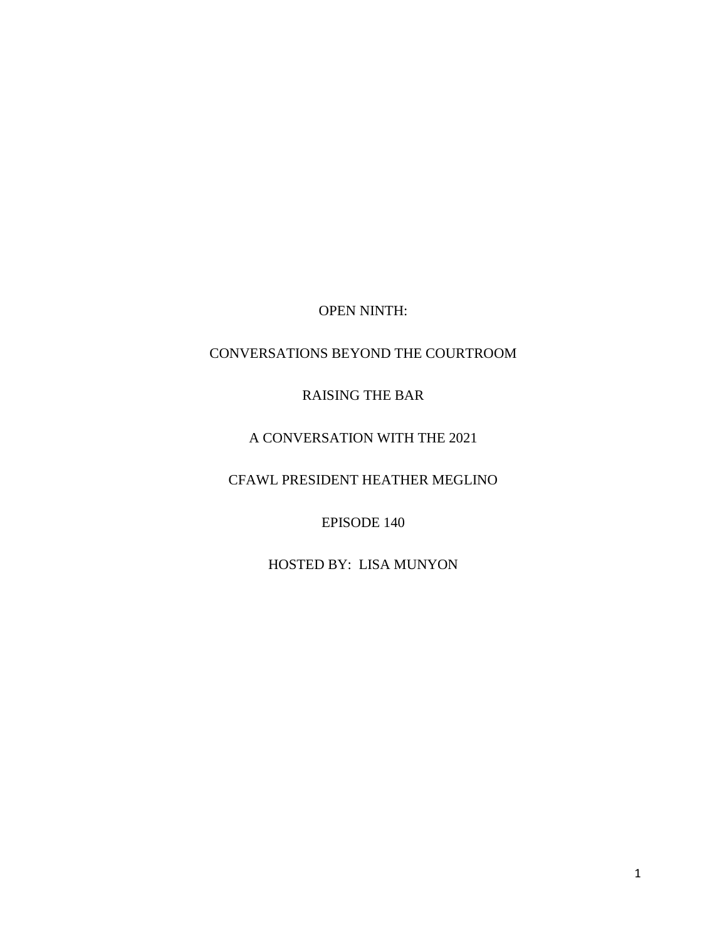OPEN NINTH:

## CONVERSATIONS BEYOND THE COURTROOM

## RAISING THE BAR

## A CONVERSATION WITH THE 2021

CFAWL PRESIDENT HEATHER MEGLINO

EPISODE 140

HOSTED BY: LISA MUNYON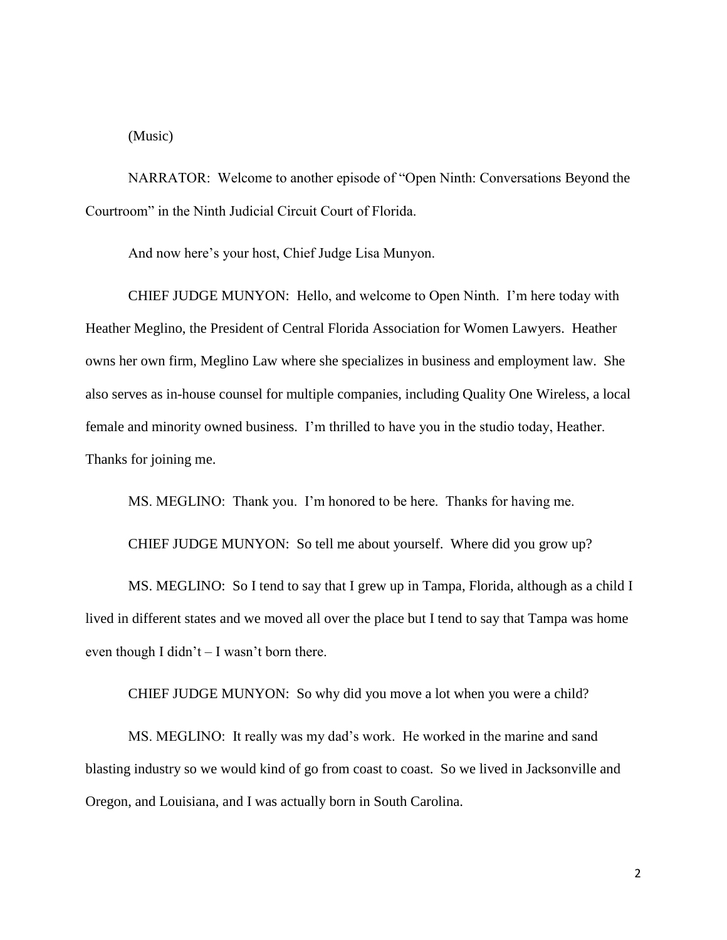(Music)

NARRATOR: Welcome to another episode of "Open Ninth: Conversations Beyond the Courtroom" in the Ninth Judicial Circuit Court of Florida.

And now here's your host, Chief Judge Lisa Munyon.

CHIEF JUDGE MUNYON: Hello, and welcome to Open Ninth. I'm here today with Heather Meglino, the President of Central Florida Association for Women Lawyers. Heather owns her own firm, Meglino Law where she specializes in business and employment law. She also serves as in-house counsel for multiple companies, including Quality One Wireless, a local female and minority owned business. I'm thrilled to have you in the studio today, Heather. Thanks for joining me.

MS. MEGLINO: Thank you. I'm honored to be here. Thanks for having me.

CHIEF JUDGE MUNYON: So tell me about yourself. Where did you grow up?

MS. MEGLINO: So I tend to say that I grew up in Tampa, Florida, although as a child I lived in different states and we moved all over the place but I tend to say that Tampa was home even though I didn't  $-$  I wasn't born there.

CHIEF JUDGE MUNYON: So why did you move a lot when you were a child?

MS. MEGLINO: It really was my dad's work. He worked in the marine and sand blasting industry so we would kind of go from coast to coast. So we lived in Jacksonville and Oregon, and Louisiana, and I was actually born in South Carolina.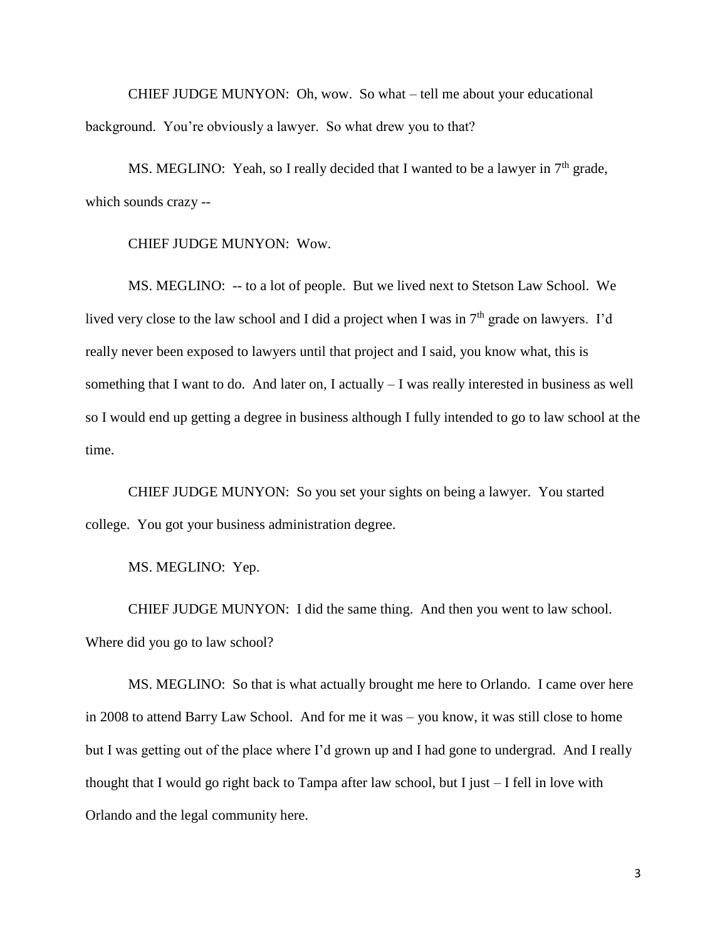CHIEF JUDGE MUNYON: Oh, wow. So what – tell me about your educational background. You're obviously a lawyer. So what drew you to that?

MS. MEGLINO: Yeah, so I really decided that I wanted to be a lawyer in  $7<sup>th</sup>$  grade, which sounds crazy --

CHIEF JUDGE MUNYON: Wow.

MS. MEGLINO: -- to a lot of people. But we lived next to Stetson Law School. We lived very close to the law school and I did a project when I was in  $7<sup>th</sup>$  grade on lawyers. I'd really never been exposed to lawyers until that project and I said, you know what, this is something that I want to do. And later on, I actually – I was really interested in business as well so I would end up getting a degree in business although I fully intended to go to law school at the time.

CHIEF JUDGE MUNYON: So you set your sights on being a lawyer. You started college. You got your business administration degree.

MS. MEGLINO: Yep.

CHIEF JUDGE MUNYON: I did the same thing. And then you went to law school. Where did you go to law school?

MS. MEGLINO: So that is what actually brought me here to Orlando. I came over here in 2008 to attend Barry Law School. And for me it was – you know, it was still close to home but I was getting out of the place where I'd grown up and I had gone to undergrad. And I really thought that I would go right back to Tampa after law school, but I just – I fell in love with Orlando and the legal community here.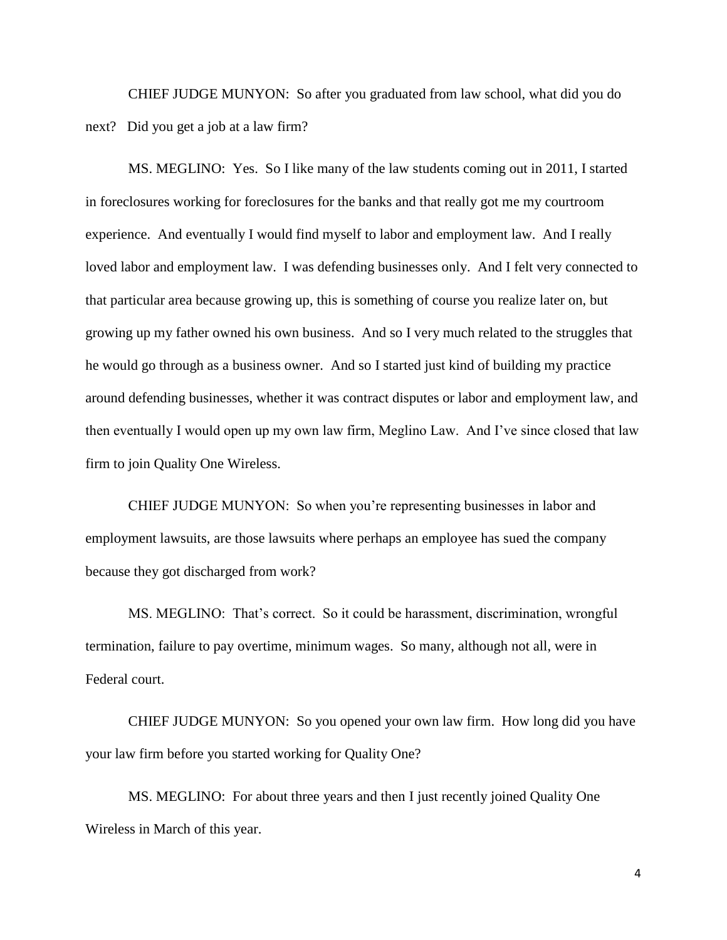CHIEF JUDGE MUNYON: So after you graduated from law school, what did you do next? Did you get a job at a law firm?

MS. MEGLINO: Yes. So I like many of the law students coming out in 2011, I started in foreclosures working for foreclosures for the banks and that really got me my courtroom experience. And eventually I would find myself to labor and employment law. And I really loved labor and employment law. I was defending businesses only. And I felt very connected to that particular area because growing up, this is something of course you realize later on, but growing up my father owned his own business. And so I very much related to the struggles that he would go through as a business owner. And so I started just kind of building my practice around defending businesses, whether it was contract disputes or labor and employment law, and then eventually I would open up my own law firm, Meglino Law. And I've since closed that law firm to join Quality One Wireless.

CHIEF JUDGE MUNYON: So when you're representing businesses in labor and employment lawsuits, are those lawsuits where perhaps an employee has sued the company because they got discharged from work?

MS. MEGLINO: That's correct. So it could be harassment, discrimination, wrongful termination, failure to pay overtime, minimum wages. So many, although not all, were in Federal court.

CHIEF JUDGE MUNYON: So you opened your own law firm. How long did you have your law firm before you started working for Quality One?

MS. MEGLINO: For about three years and then I just recently joined Quality One Wireless in March of this year.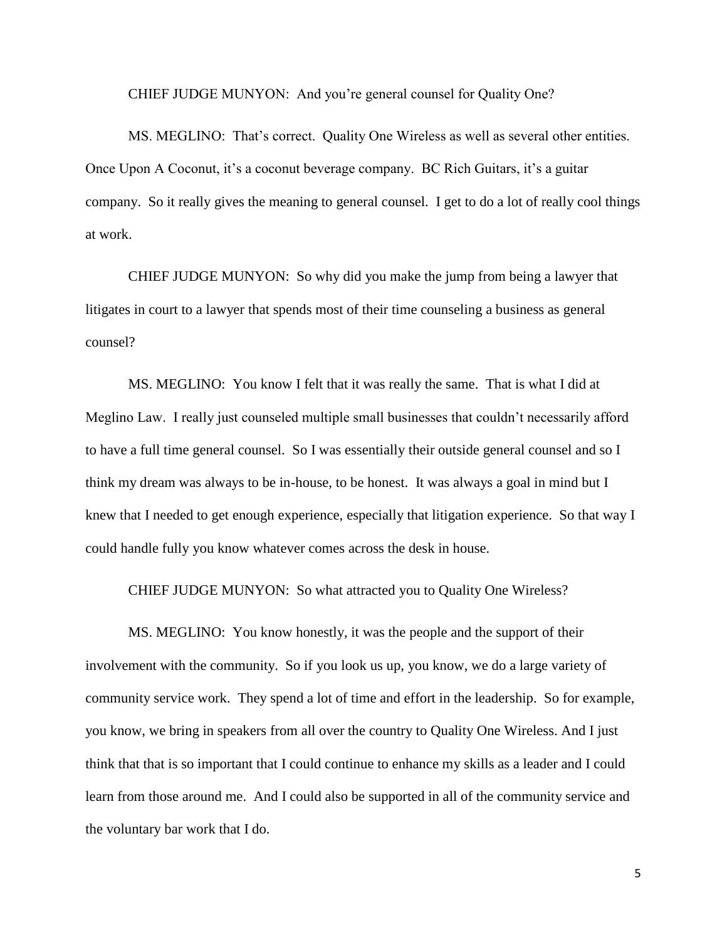CHIEF JUDGE MUNYON: And you're general counsel for Quality One?

MS. MEGLINO: That's correct. Quality One Wireless as well as several other entities. Once Upon A Coconut, it's a coconut beverage company. BC Rich Guitars, it's a guitar company. So it really gives the meaning to general counsel. I get to do a lot of really cool things at work.

CHIEF JUDGE MUNYON: So why did you make the jump from being a lawyer that litigates in court to a lawyer that spends most of their time counseling a business as general counsel?

MS. MEGLINO: You know I felt that it was really the same. That is what I did at Meglino Law. I really just counseled multiple small businesses that couldn't necessarily afford to have a full time general counsel. So I was essentially their outside general counsel and so I think my dream was always to be in-house, to be honest. It was always a goal in mind but I knew that I needed to get enough experience, especially that litigation experience. So that way I could handle fully you know whatever comes across the desk in house.

CHIEF JUDGE MUNYON: So what attracted you to Quality One Wireless?

MS. MEGLINO: You know honestly, it was the people and the support of their involvement with the community. So if you look us up, you know, we do a large variety of community service work. They spend a lot of time and effort in the leadership. So for example, you know, we bring in speakers from all over the country to Quality One Wireless. And I just think that that is so important that I could continue to enhance my skills as a leader and I could learn from those around me. And I could also be supported in all of the community service and the voluntary bar work that I do.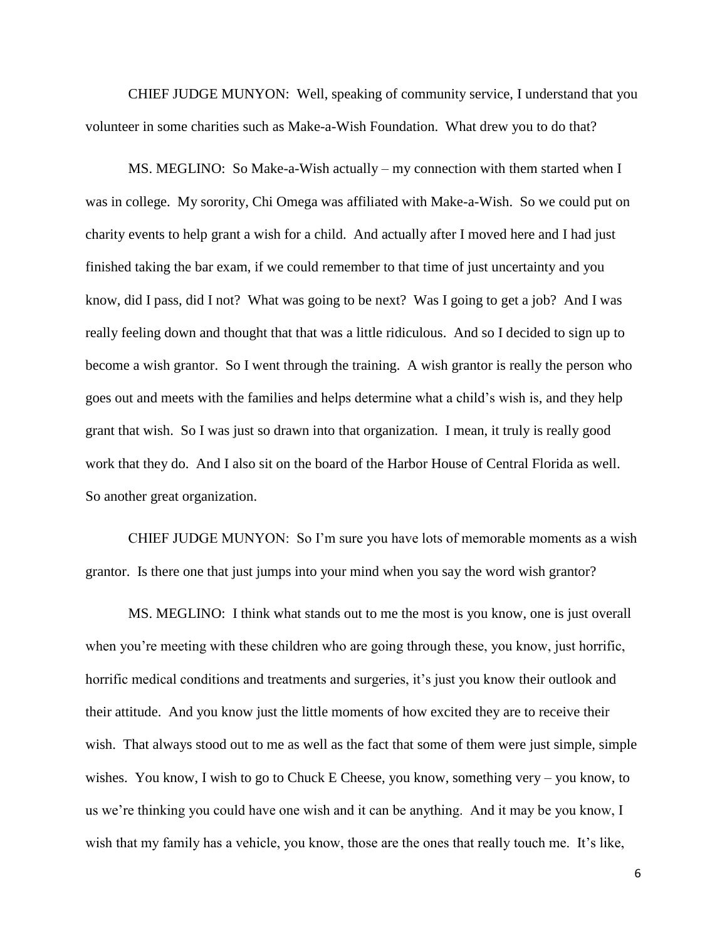CHIEF JUDGE MUNYON: Well, speaking of community service, I understand that you volunteer in some charities such as Make-a-Wish Foundation. What drew you to do that?

MS. MEGLINO: So Make-a-Wish actually – my connection with them started when I was in college. My sorority, Chi Omega was affiliated with Make-a-Wish. So we could put on charity events to help grant a wish for a child. And actually after I moved here and I had just finished taking the bar exam, if we could remember to that time of just uncertainty and you know, did I pass, did I not? What was going to be next? Was I going to get a job? And I was really feeling down and thought that that was a little ridiculous. And so I decided to sign up to become a wish grantor. So I went through the training. A wish grantor is really the person who goes out and meets with the families and helps determine what a child's wish is, and they help grant that wish. So I was just so drawn into that organization. I mean, it truly is really good work that they do. And I also sit on the board of the Harbor House of Central Florida as well. So another great organization.

CHIEF JUDGE MUNYON: So I'm sure you have lots of memorable moments as a wish grantor. Is there one that just jumps into your mind when you say the word wish grantor?

MS. MEGLINO: I think what stands out to me the most is you know, one is just overall when you're meeting with these children who are going through these, you know, just horrific, horrific medical conditions and treatments and surgeries, it's just you know their outlook and their attitude. And you know just the little moments of how excited they are to receive their wish. That always stood out to me as well as the fact that some of them were just simple, simple wishes. You know, I wish to go to Chuck E Cheese, you know, something very – you know, to us we're thinking you could have one wish and it can be anything. And it may be you know, I wish that my family has a vehicle, you know, those are the ones that really touch me. It's like,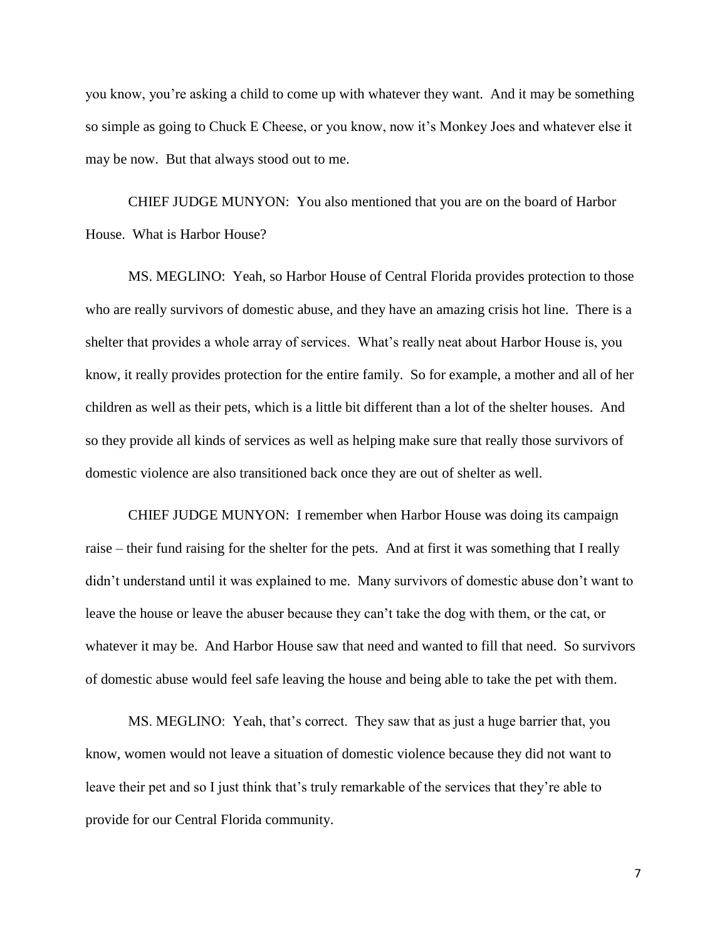you know, you're asking a child to come up with whatever they want. And it may be something so simple as going to Chuck E Cheese, or you know, now it's Monkey Joes and whatever else it may be now. But that always stood out to me.

CHIEF JUDGE MUNYON: You also mentioned that you are on the board of Harbor House. What is Harbor House?

MS. MEGLINO: Yeah, so Harbor House of Central Florida provides protection to those who are really survivors of domestic abuse, and they have an amazing crisis hot line. There is a shelter that provides a whole array of services. What's really neat about Harbor House is, you know, it really provides protection for the entire family. So for example, a mother and all of her children as well as their pets, which is a little bit different than a lot of the shelter houses. And so they provide all kinds of services as well as helping make sure that really those survivors of domestic violence are also transitioned back once they are out of shelter as well.

CHIEF JUDGE MUNYON: I remember when Harbor House was doing its campaign raise – their fund raising for the shelter for the pets. And at first it was something that I really didn't understand until it was explained to me. Many survivors of domestic abuse don't want to leave the house or leave the abuser because they can't take the dog with them, or the cat, or whatever it may be. And Harbor House saw that need and wanted to fill that need. So survivors of domestic abuse would feel safe leaving the house and being able to take the pet with them.

MS. MEGLINO: Yeah, that's correct. They saw that as just a huge barrier that, you know, women would not leave a situation of domestic violence because they did not want to leave their pet and so I just think that's truly remarkable of the services that they're able to provide for our Central Florida community.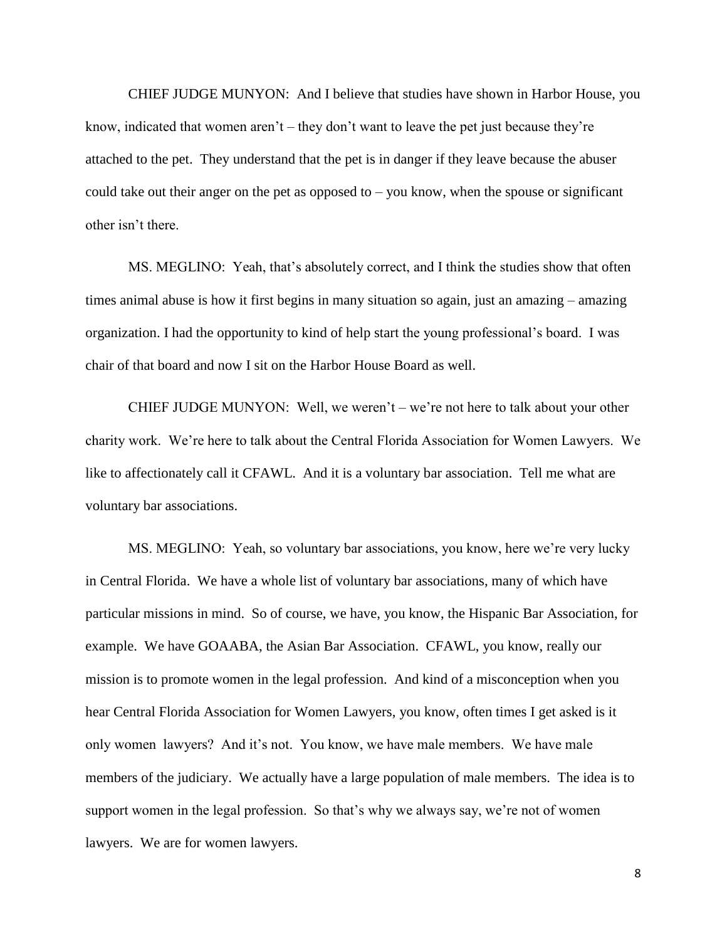CHIEF JUDGE MUNYON: And I believe that studies have shown in Harbor House, you know, indicated that women aren't – they don't want to leave the pet just because they're attached to the pet. They understand that the pet is in danger if they leave because the abuser could take out their anger on the pet as opposed to  $-$  you know, when the spouse or significant other isn't there.

MS. MEGLINO: Yeah, that's absolutely correct, and I think the studies show that often times animal abuse is how it first begins in many situation so again, just an amazing – amazing organization. I had the opportunity to kind of help start the young professional's board. I was chair of that board and now I sit on the Harbor House Board as well.

CHIEF JUDGE MUNYON: Well, we weren't – we're not here to talk about your other charity work. We're here to talk about the Central Florida Association for Women Lawyers. We like to affectionately call it CFAWL. And it is a voluntary bar association. Tell me what are voluntary bar associations.

MS. MEGLINO: Yeah, so voluntary bar associations, you know, here we're very lucky in Central Florida. We have a whole list of voluntary bar associations, many of which have particular missions in mind. So of course, we have, you know, the Hispanic Bar Association, for example. We have GOAABA, the Asian Bar Association. CFAWL, you know, really our mission is to promote women in the legal profession. And kind of a misconception when you hear Central Florida Association for Women Lawyers, you know, often times I get asked is it only women lawyers? And it's not. You know, we have male members. We have male members of the judiciary. We actually have a large population of male members. The idea is to support women in the legal profession. So that's why we always say, we're not of women lawyers. We are for women lawyers.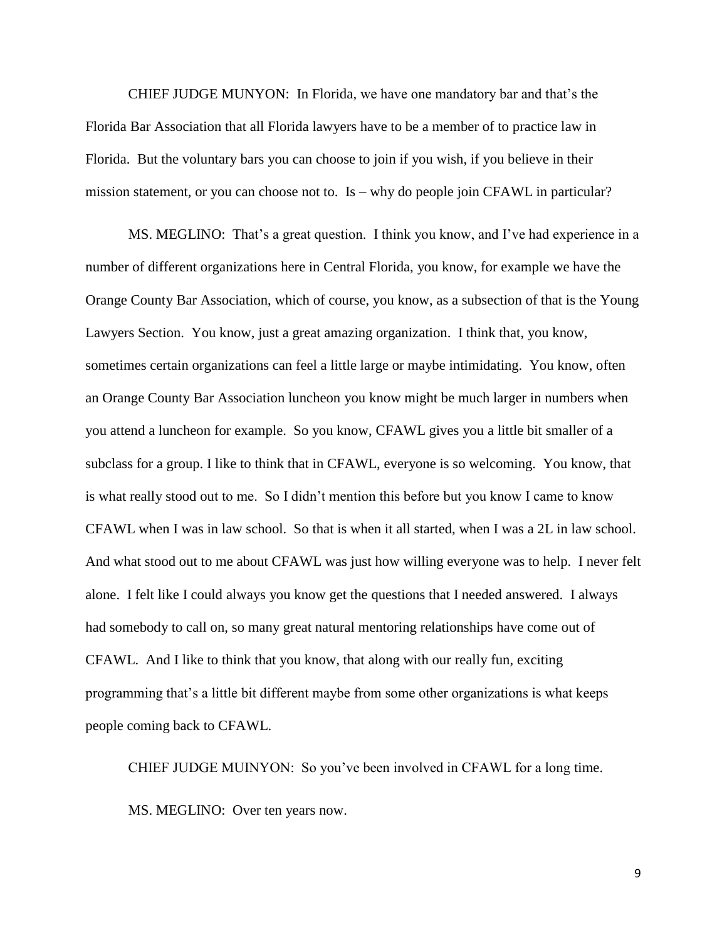CHIEF JUDGE MUNYON: In Florida, we have one mandatory bar and that's the Florida Bar Association that all Florida lawyers have to be a member of to practice law in Florida. But the voluntary bars you can choose to join if you wish, if you believe in their mission statement, or you can choose not to. Is – why do people join CFAWL in particular?

MS. MEGLINO: That's a great question. I think you know, and I've had experience in a number of different organizations here in Central Florida, you know, for example we have the Orange County Bar Association, which of course, you know, as a subsection of that is the Young Lawyers Section. You know, just a great amazing organization. I think that, you know, sometimes certain organizations can feel a little large or maybe intimidating. You know, often an Orange County Bar Association luncheon you know might be much larger in numbers when you attend a luncheon for example. So you know, CFAWL gives you a little bit smaller of a subclass for a group. I like to think that in CFAWL, everyone is so welcoming. You know, that is what really stood out to me. So I didn't mention this before but you know I came to know CFAWL when I was in law school. So that is when it all started, when I was a 2L in law school. And what stood out to me about CFAWL was just how willing everyone was to help. I never felt alone. I felt like I could always you know get the questions that I needed answered. I always had somebody to call on, so many great natural mentoring relationships have come out of CFAWL. And I like to think that you know, that along with our really fun, exciting programming that's a little bit different maybe from some other organizations is what keeps people coming back to CFAWL.

CHIEF JUDGE MUINYON: So you've been involved in CFAWL for a long time. MS. MEGLINO: Over ten years now.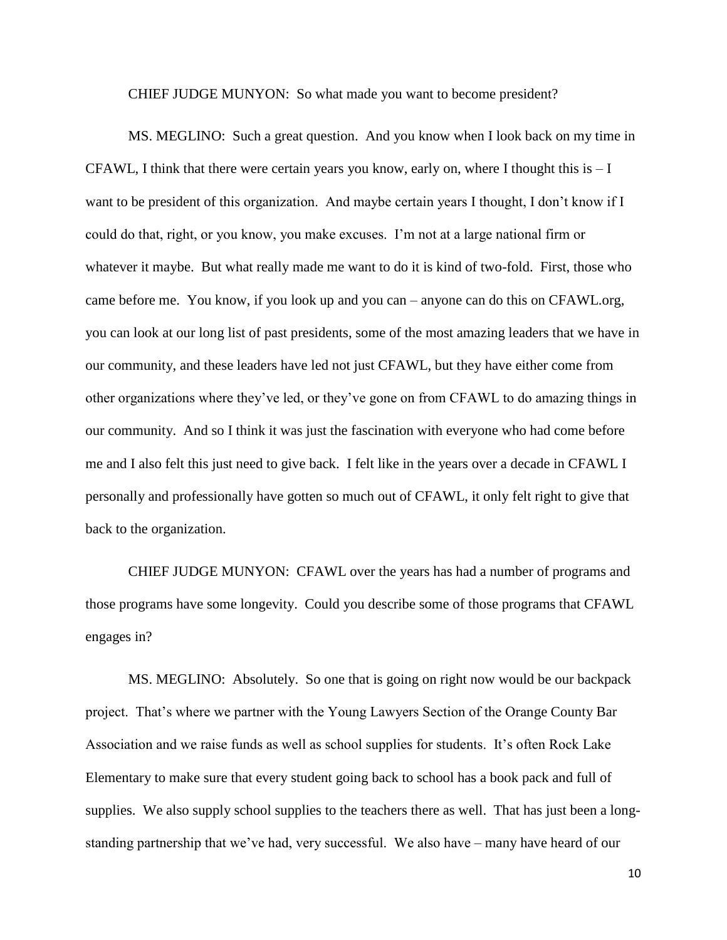CHIEF JUDGE MUNYON: So what made you want to become president?

MS. MEGLINO: Such a great question. And you know when I look back on my time in CFAWL, I think that there were certain years you know, early on, where I thought this is  $-I$ want to be president of this organization. And maybe certain years I thought, I don't know if I could do that, right, or you know, you make excuses. I'm not at a large national firm or whatever it maybe. But what really made me want to do it is kind of two-fold. First, those who came before me. You know, if you look up and you can – anyone can do this on CFAWL.org, you can look at our long list of past presidents, some of the most amazing leaders that we have in our community, and these leaders have led not just CFAWL, but they have either come from other organizations where they've led, or they've gone on from CFAWL to do amazing things in our community. And so I think it was just the fascination with everyone who had come before me and I also felt this just need to give back. I felt like in the years over a decade in CFAWL I personally and professionally have gotten so much out of CFAWL, it only felt right to give that back to the organization.

CHIEF JUDGE MUNYON: CFAWL over the years has had a number of programs and those programs have some longevity. Could you describe some of those programs that CFAWL engages in?

MS. MEGLINO: Absolutely. So one that is going on right now would be our backpack project. That's where we partner with the Young Lawyers Section of the Orange County Bar Association and we raise funds as well as school supplies for students. It's often Rock Lake Elementary to make sure that every student going back to school has a book pack and full of supplies. We also supply school supplies to the teachers there as well. That has just been a longstanding partnership that we've had, very successful. We also have – many have heard of our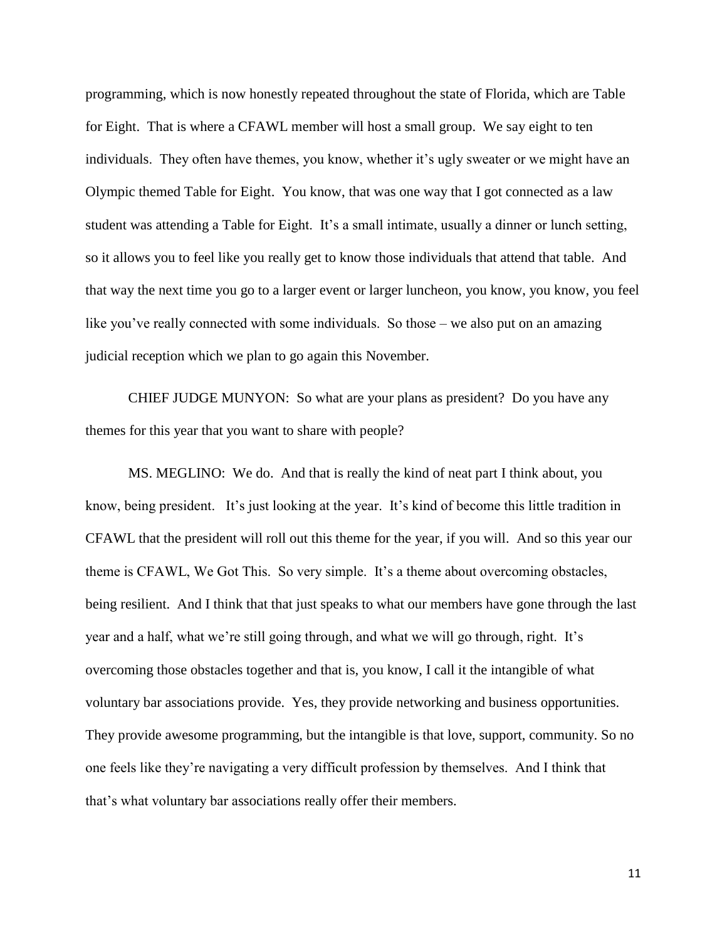programming, which is now honestly repeated throughout the state of Florida, which are Table for Eight. That is where a CFAWL member will host a small group. We say eight to ten individuals. They often have themes, you know, whether it's ugly sweater or we might have an Olympic themed Table for Eight. You know, that was one way that I got connected as a law student was attending a Table for Eight. It's a small intimate, usually a dinner or lunch setting, so it allows you to feel like you really get to know those individuals that attend that table. And that way the next time you go to a larger event or larger luncheon, you know, you know, you feel like you've really connected with some individuals. So those – we also put on an amazing judicial reception which we plan to go again this November.

CHIEF JUDGE MUNYON: So what are your plans as president? Do you have any themes for this year that you want to share with people?

MS. MEGLINO: We do. And that is really the kind of neat part I think about, you know, being president. It's just looking at the year. It's kind of become this little tradition in CFAWL that the president will roll out this theme for the year, if you will. And so this year our theme is CFAWL, We Got This. So very simple. It's a theme about overcoming obstacles, being resilient. And I think that that just speaks to what our members have gone through the last year and a half, what we're still going through, and what we will go through, right. It's overcoming those obstacles together and that is, you know, I call it the intangible of what voluntary bar associations provide. Yes, they provide networking and business opportunities. They provide awesome programming, but the intangible is that love, support, community. So no one feels like they're navigating a very difficult profession by themselves. And I think that that's what voluntary bar associations really offer their members.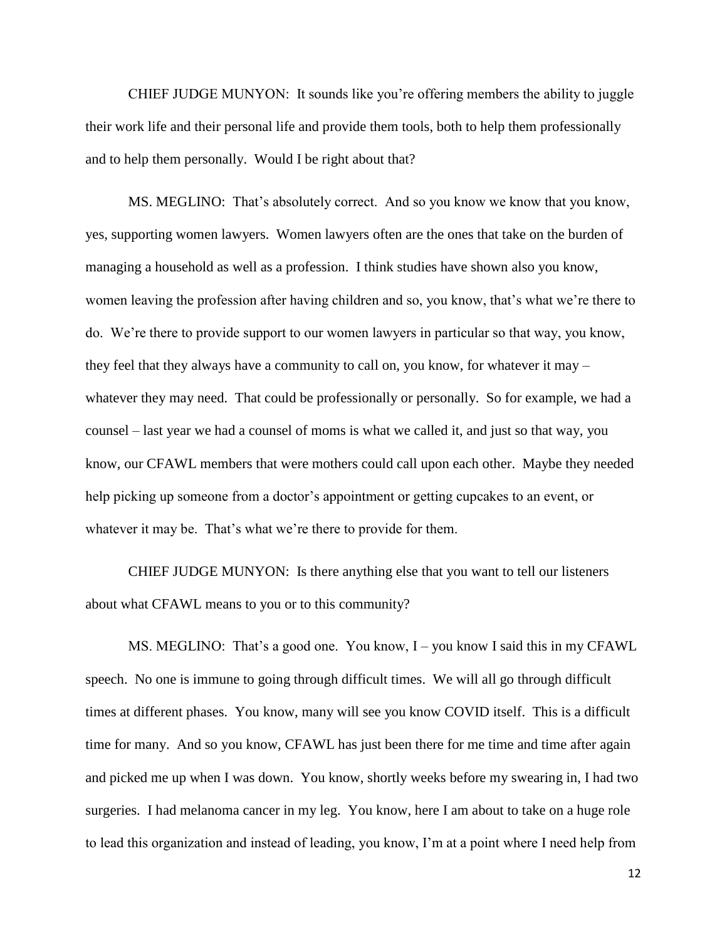CHIEF JUDGE MUNYON: It sounds like you're offering members the ability to juggle their work life and their personal life and provide them tools, both to help them professionally and to help them personally. Would I be right about that?

MS. MEGLINO: That's absolutely correct. And so you know we know that you know, yes, supporting women lawyers. Women lawyers often are the ones that take on the burden of managing a household as well as a profession. I think studies have shown also you know, women leaving the profession after having children and so, you know, that's what we're there to do. We're there to provide support to our women lawyers in particular so that way, you know, they feel that they always have a community to call on, you know, for whatever it may – whatever they may need. That could be professionally or personally. So for example, we had a counsel – last year we had a counsel of moms is what we called it, and just so that way, you know, our CFAWL members that were mothers could call upon each other. Maybe they needed help picking up someone from a doctor's appointment or getting cupcakes to an event, or whatever it may be. That's what we're there to provide for them.

CHIEF JUDGE MUNYON: Is there anything else that you want to tell our listeners about what CFAWL means to you or to this community?

MS. MEGLINO: That's a good one. You know, I – you know I said this in my CFAWL speech. No one is immune to going through difficult times. We will all go through difficult times at different phases. You know, many will see you know COVID itself. This is a difficult time for many. And so you know, CFAWL has just been there for me time and time after again and picked me up when I was down. You know, shortly weeks before my swearing in, I had two surgeries. I had melanoma cancer in my leg. You know, here I am about to take on a huge role to lead this organization and instead of leading, you know, I'm at a point where I need help from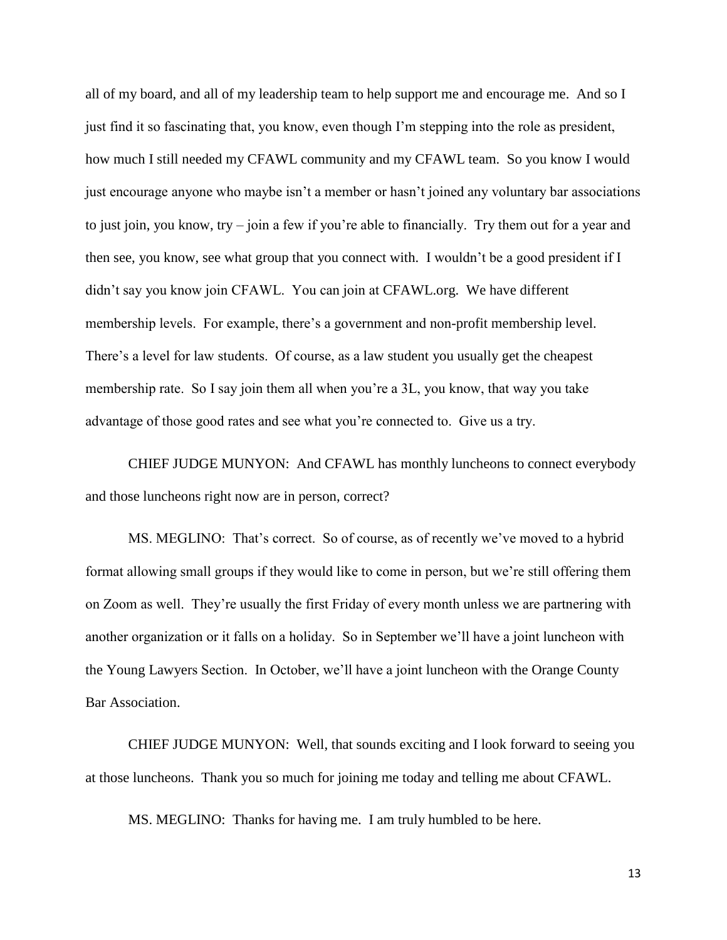all of my board, and all of my leadership team to help support me and encourage me. And so I just find it so fascinating that, you know, even though I'm stepping into the role as president, how much I still needed my CFAWL community and my CFAWL team. So you know I would just encourage anyone who maybe isn't a member or hasn't joined any voluntary bar associations to just join, you know, try – join a few if you're able to financially. Try them out for a year and then see, you know, see what group that you connect with. I wouldn't be a good president if I didn't say you know join CFAWL. You can join at CFAWL.org. We have different membership levels. For example, there's a government and non-profit membership level. There's a level for law students. Of course, as a law student you usually get the cheapest membership rate. So I say join them all when you're a 3L, you know, that way you take advantage of those good rates and see what you're connected to. Give us a try.

CHIEF JUDGE MUNYON: And CFAWL has monthly luncheons to connect everybody and those luncheons right now are in person, correct?

MS. MEGLINO: That's correct. So of course, as of recently we've moved to a hybrid format allowing small groups if they would like to come in person, but we're still offering them on Zoom as well. They're usually the first Friday of every month unless we are partnering with another organization or it falls on a holiday. So in September we'll have a joint luncheon with the Young Lawyers Section. In October, we'll have a joint luncheon with the Orange County Bar Association.

CHIEF JUDGE MUNYON: Well, that sounds exciting and I look forward to seeing you at those luncheons. Thank you so much for joining me today and telling me about CFAWL.

MS. MEGLINO: Thanks for having me. I am truly humbled to be here.